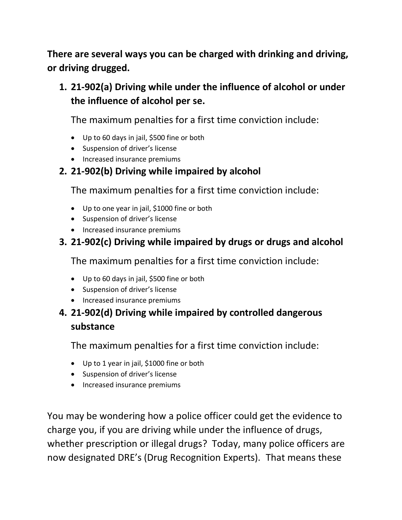**There are several ways you can be charged with drinking and driving, or driving drugged.** 

## **1. 21-902(a) Driving while under the influence of alcohol or under the influence of alcohol per se.**

The maximum penalties for a first time conviction include:

- Up to 60 days in jail, \$500 fine or both
- Suspension of driver's license
- Increased insurance premiums

## **2. 21-902(b) Driving while impaired by alcohol**

The maximum penalties for a first time conviction include:

- Up to one year in jail, \$1000 fine or both
- Suspension of driver's license
- Increased insurance premiums

## **3. 21-902(c) Driving while impaired by drugs or drugs and alcohol**

The maximum penalties for a first time conviction include:

- Up to 60 days in jail, \$500 fine or both
- Suspension of driver's license
- Increased insurance premiums

#### **4. 21-902(d) Driving while impaired by controlled dangerous substance**

The maximum penalties for a first time conviction include:

- Up to 1 year in jail, \$1000 fine or both
- Suspension of driver's license
- Increased insurance premiums

You may be wondering how a police officer could get the evidence to charge you, if you are driving while under the influence of drugs, whether prescription or illegal drugs? Today, many police officers are now designated DRE's (Drug Recognition Experts). That means these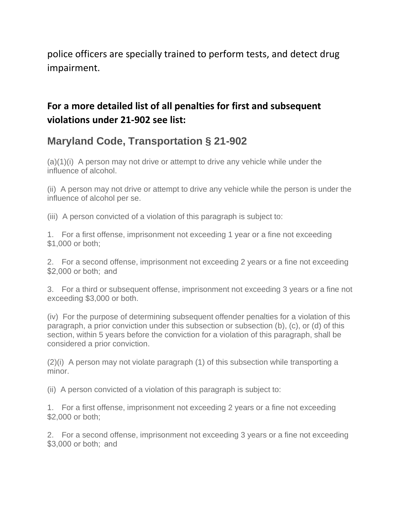police officers are specially trained to perform tests, and detect drug impairment.

#### **For a more detailed list of all penalties for first and subsequent violations under 21-902 see list:**

# **Maryland Code, Transportation § 21-902**

 $(a)(1)(i)$  A person may not drive or attempt to drive any vehicle while under the influence of alcohol.

(ii) A person may not drive or attempt to drive any vehicle while the person is under the influence of alcohol per se.

(iii) A person convicted of a violation of this paragraph is subject to:

1. For a first offense, imprisonment not exceeding 1 year or a fine not exceeding \$1,000 or both;

2. For a second offense, imprisonment not exceeding 2 years or a fine not exceeding \$2,000 or both; and

3. For a third or subsequent offense, imprisonment not exceeding 3 years or a fine not exceeding \$3,000 or both.

(iv) For the purpose of determining subsequent offender penalties for a violation of this paragraph, a prior conviction under this subsection or subsection (b), (c), or (d) of this section, within 5 years before the conviction for a violation of this paragraph, shall be considered a prior conviction.

(2)(i) A person may not violate paragraph (1) of this subsection while transporting a minor.

(ii) A person convicted of a violation of this paragraph is subject to:

1. For a first offense, imprisonment not exceeding 2 years or a fine not exceeding \$2,000 or both;

2. For a second offense, imprisonment not exceeding 3 years or a fine not exceeding \$3,000 or both; and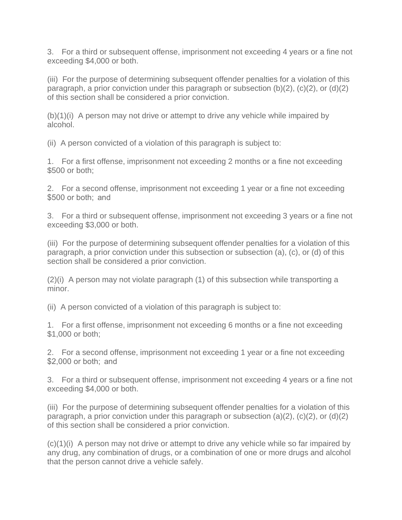3. For a third or subsequent offense, imprisonment not exceeding 4 years or a fine not exceeding \$4,000 or both.

(iii) For the purpose of determining subsequent offender penalties for a violation of this paragraph, a prior conviction under this paragraph or subsection (b)(2), (c)(2), or (d)(2) of this section shall be considered a prior conviction.

(b)(1)(i) A person may not drive or attempt to drive any vehicle while impaired by alcohol.

(ii) A person convicted of a violation of this paragraph is subject to:

1. For a first offense, imprisonment not exceeding 2 months or a fine not exceeding \$500 or both;

2. For a second offense, imprisonment not exceeding 1 year or a fine not exceeding \$500 or both: and

3. For a third or subsequent offense, imprisonment not exceeding 3 years or a fine not exceeding \$3,000 or both.

(iii) For the purpose of determining subsequent offender penalties for a violation of this paragraph, a prior conviction under this subsection or subsection (a), (c), or (d) of this section shall be considered a prior conviction.

(2)(i) A person may not violate paragraph (1) of this subsection while transporting a minor.

(ii) A person convicted of a violation of this paragraph is subject to:

1. For a first offense, imprisonment not exceeding 6 months or a fine not exceeding \$1,000 or both;

2. For a second offense, imprisonment not exceeding 1 year or a fine not exceeding \$2,000 or both;  and

3. For a third or subsequent offense, imprisonment not exceeding 4 years or a fine not exceeding \$4,000 or both.

(iii) For the purpose of determining subsequent offender penalties for a violation of this paragraph, a prior conviction under this paragraph or subsection (a)(2), (c)(2), or (d)(2) of this section shall be considered a prior conviction.

(c)(1)(i) A person may not drive or attempt to drive any vehicle while so far impaired by any drug, any combination of drugs, or a combination of one or more drugs and alcohol that the person cannot drive a vehicle safely.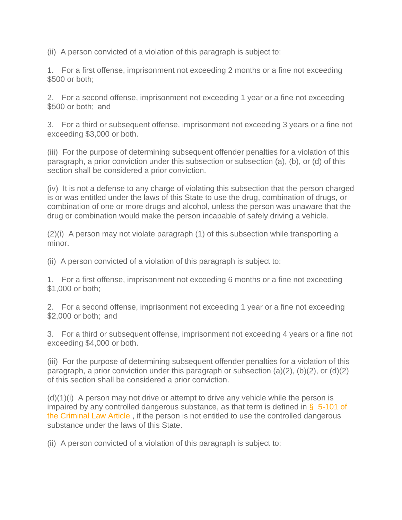(ii) A person convicted of a violation of this paragraph is subject to:

1. For a first offense, imprisonment not exceeding 2 months or a fine not exceeding \$500 or both;

2. For a second offense, imprisonment not exceeding 1 year or a fine not exceeding \$500 or both; and

3. For a third or subsequent offense, imprisonment not exceeding 3 years or a fine not exceeding \$3,000 or both.

(iii) For the purpose of determining subsequent offender penalties for a violation of this paragraph, a prior conviction under this subsection or subsection (a), (b), or (d) of this section shall be considered a prior conviction.

(iv) It is not a defense to any charge of violating this subsection that the person charged is or was entitled under the laws of this State to use the drug, combination of drugs, or combination of one or more drugs and alcohol, unless the person was unaware that the drug or combination would make the person incapable of safely driving a vehicle.

(2)(i) A person may not violate paragraph (1) of this subsection while transporting a minor.

(ii) A person convicted of a violation of this paragraph is subject to:

1. For a first offense, imprisonment not exceeding 6 months or a fine not exceeding \$1,000 or both;

2. For a second offense, imprisonment not exceeding 1 year or a fine not exceeding \$2,000 or both;  and

3. For a third or subsequent offense, imprisonment not exceeding 4 years or a fine not exceeding \$4,000 or both.

(iii) For the purpose of determining subsequent offender penalties for a violation of this paragraph, a prior conviction under this paragraph or subsection (a)(2), (b)(2), or (d)(2) of this section shall be considered a prior conviction.

 $(d)(1)(i)$  A person may not drive or attempt to drive any vehicle while the person is impaired by any controlled dangerous substance, as that term is defined in  $\frac{6}{9}$  5-101 of [the Criminal Law Article](https://1.next.westlaw.com/Link/Document/FullText?findType=L&originatingContext=document&transitionType=DocumentItem&pubNum=1016992&refType=LQ&originatingDoc=I2618eae081f411e79936df3c824e394b&cite=MDCRLWS5-101) , if the person is not entitled to use the controlled dangerous substance under the laws of this State.

(ii) A person convicted of a violation of this paragraph is subject to: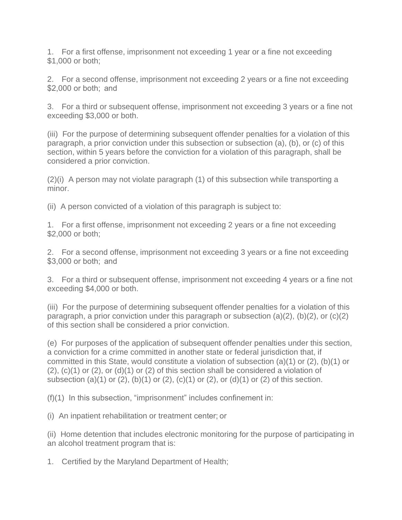1. For a first offense, imprisonment not exceeding 1 year or a fine not exceeding  $$1,000$  or both;

2. For a second offense, imprisonment not exceeding 2 years or a fine not exceeding \$2,000 or both;  and

3. For a third or subsequent offense, imprisonment not exceeding 3 years or a fine not exceeding \$3,000 or both.

(iii) For the purpose of determining subsequent offender penalties for a violation of this paragraph, a prior conviction under this subsection or subsection (a), (b), or (c) of this section, within 5 years before the conviction for a violation of this paragraph, shall be considered a prior conviction.

(2)(i) A person may not violate paragraph (1) of this subsection while transporting a minor.

(ii) A person convicted of a violation of this paragraph is subject to:

1. For a first offense, imprisonment not exceeding 2 years or a fine not exceeding \$2,000 or both;

2. For a second offense, imprisonment not exceeding 3 years or a fine not exceeding \$3,000 or both;  and

3. For a third or subsequent offense, imprisonment not exceeding 4 years or a fine not exceeding \$4,000 or both.

(iii) For the purpose of determining subsequent offender penalties for a violation of this paragraph, a prior conviction under this paragraph or subsection  $(a)(2)$ ,  $(b)(2)$ , or  $(c)(2)$ of this section shall be considered a prior conviction.

(e) For purposes of the application of subsequent offender penalties under this section, a conviction for a crime committed in another state or federal jurisdiction that, if committed in this State, would constitute a violation of subsection (a)(1) or (2), (b)(1) or  $(2)$ ,  $(c)(1)$  or  $(2)$ , or  $(d)(1)$  or  $(2)$  of this section shall be considered a violation of subsection (a)(1) or (2), (b)(1) or (2), (c)(1) or (2), or (d)(1) or (2) of this section.

(f)(1) In this subsection, "imprisonment" includes confinement in:

(i) An inpatient rehabilitation or treatment center; or

(ii) Home detention that includes electronic monitoring for the purpose of participating in an alcohol treatment program that is:

1. Certified by the Maryland Department of Health;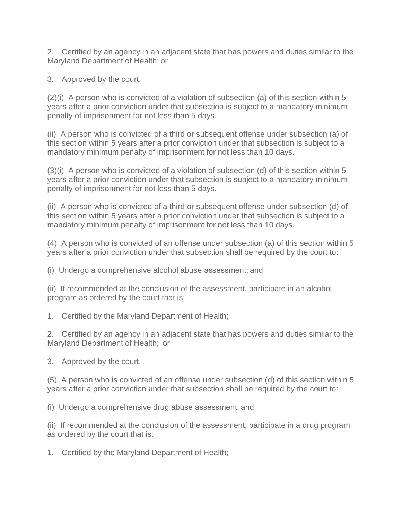2. Certified by an agency in an adjacent state that has powers and duties similar to the Maryland Department of Health; or

3. Approved by the court.

(2)(i) A person who is convicted of a violation of subsection (a) of this section within 5 years after a prior conviction under that subsection is subject to a mandatory minimum penalty of imprisonment for not less than 5 days.

(ii) A person who is convicted of a third or subsequent offense under subsection (a) of this section within 5 years after a prior conviction under that subsection is subject to a mandatory minimum penalty of imprisonment for not less than 10 days.

(3)(i) A person who is convicted of a violation of subsection (d) of this section within 5 years after a prior conviction under that subsection is subject to a mandatory minimum penalty of imprisonment for not less than 5 days.

(ii) A person who is convicted of a third or subsequent offense under subsection (d) of this section within 5 years after a prior conviction under that subsection is subject to a mandatory minimum penalty of imprisonment for not less than 10 days.

(4) A person who is convicted of an offense under subsection (a) of this section within 5 years after a prior conviction under that subsection shall be required by the court to:

(i) Undergo a comprehensive alcohol abuse assessment; and

(ii) If recommended at the conclusion of the assessment, participate in an alcohol program as ordered by the court that is:

1. Certified by the Maryland Department of Health;

2. Certified by an agency in an adjacent state that has powers and duties similar to the Maryland Department of Health;  or

3. Approved by the court.

(5) A person who is convicted of an offense under subsection (d) of this section within 5 years after a prior conviction under that subsection shall be required by the court to:

(i) Undergo a comprehensive drug abuse assessment; and

(ii) If recommended at the conclusion of the assessment, participate in a drug program as ordered by the court that is:

1. Certified by the Maryland Department of Health;